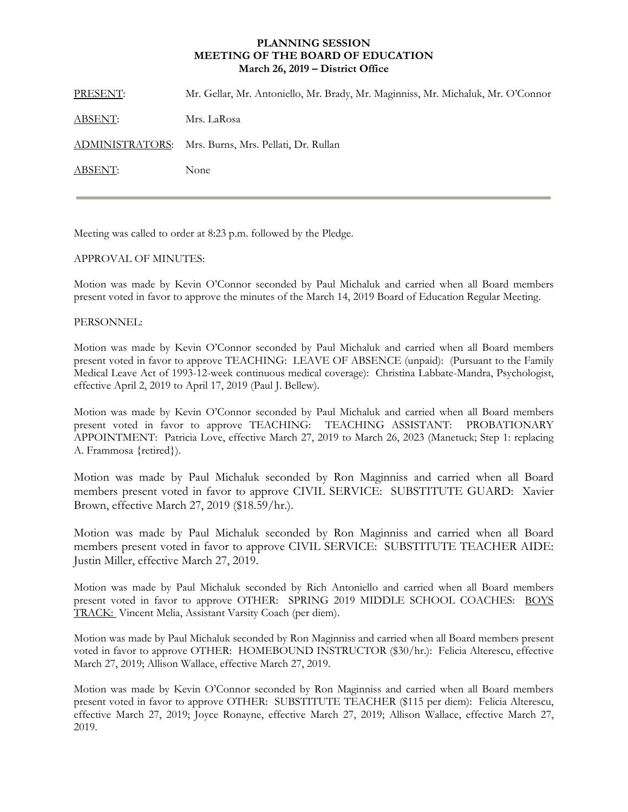## **PLANNING SESSION MEETING OF THE BOARD OF EDUCATION March 26, 2019 – District Office**

| PRESENT: | Mr. Gellar, Mr. Antoniello, Mr. Brady, Mr. Maginniss, Mr. Michaluk, Mr. O'Connor |
|----------|----------------------------------------------------------------------------------|
| ABSENT:  | Mrs. LaRosa                                                                      |
|          | ADMINISTRATORS: Mrs. Burns, Mrs. Pellati, Dr. Rullan                             |
| ABSENT:  | None                                                                             |
|          |                                                                                  |

Meeting was called to order at 8:23 p.m. followed by the Pledge.

## APPROVAL OF MINUTES:

Motion was made by Kevin O'Connor seconded by Paul Michaluk and carried when all Board members present voted in favor to approve the minutes of the March 14, 2019 Board of Education Regular Meeting.

## PERSONNEL:

Motion was made by Kevin O'Connor seconded by Paul Michaluk and carried when all Board members present voted in favor to approve TEACHING: LEAVE OF ABSENCE (unpaid): (Pursuant to the Family Medical Leave Act of 1993-12-week continuous medical coverage): Christina Labbate-Mandra, Psychologist, effective April 2, 2019 to April 17, 2019 (Paul J. Bellew).

Motion was made by Kevin O'Connor seconded by Paul Michaluk and carried when all Board members present voted in favor to approve TEACHING: TEACHING ASSISTANT: PROBATIONARY APPOINTMENT: Patricia Love, effective March 27, 2019 to March 26, 2023 (Manetuck; Step 1: replacing A. Frammosa {retired}).

Motion was made by Paul Michaluk seconded by Ron Maginniss and carried when all Board members present voted in favor to approve CIVIL SERVICE: SUBSTITUTE GUARD: Xavier Brown, effective March 27, 2019 (\$18.59/hr.).

Motion was made by Paul Michaluk seconded by Ron Maginniss and carried when all Board members present voted in favor to approve CIVIL SERVICE: SUBSTITUTE TEACHER AIDE: Justin Miller, effective March 27, 2019.

Motion was made by Paul Michaluk seconded by Rich Antoniello and carried when all Board members present voted in favor to approve OTHER: SPRING 2019 MIDDLE SCHOOL COACHES: BOYS TRACK: Vincent Melia, Assistant Varsity Coach (per diem).

Motion was made by Paul Michaluk seconded by Ron Maginniss and carried when all Board members present voted in favor to approve OTHER: HOMEBOUND INSTRUCTOR (\$30/hr.): Felicia Alterescu, effective March 27, 2019; Allison Wallace, effective March 27, 2019.

Motion was made by Kevin O'Connor seconded by Ron Maginniss and carried when all Board members present voted in favor to approve OTHER: SUBSTITUTE TEACHER (\$115 per diem): Felicia Alterescu, effective March 27, 2019; Joyce Ronayne, effective March 27, 2019; Allison Wallace, effective March 27, 2019.